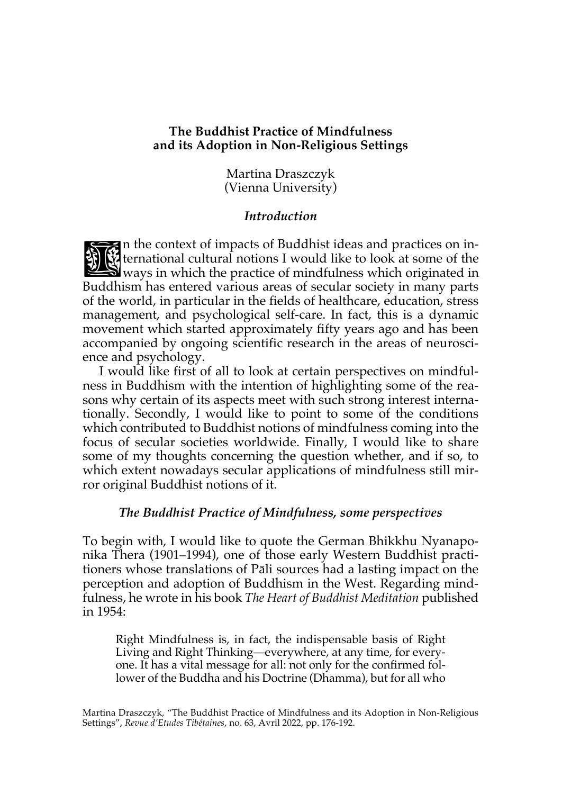### **The Buddhist Practice of Mindfulness and its Adoption in Non-Religious Settings**

Martina Draszczyk (Vienna University)

### *Introduction*

n the context of impacts of Buddhist ideas and practices on international cultural notions I would like to look at some of the ways in which the practice of mindfulness which originated in Buddhism has entered various areas of secular society in many parts of the world, in particular in the fields of healthcare, education, stress management, and psychological self-care. In fact, this is a dynamic movement which started approximately fifty years ago and has been accompanied by ongoing scientific research in the areas of neuroscience and psychology. **DES** 

I would like first of all to look at certain perspectives on mindfulness in Buddhism with the intention of highlighting some of the reasons why certain of its aspects meet with such strong interest internationally. Secondly, I would like to point to some of the conditions which contributed to Buddhist notions of mindfulness coming into the focus of secular societies worldwide. Finally, I would like to share some of my thoughts concerning the question whether, and if so, to which extent nowadays secular applications of mindfulness still mirror original Buddhist notions of it.

#### *The Buddhist Practice of Mindfulness, some perspectives*

To begin with, I would like to quote the German Bhikkhu Nyanaponika Thera (1901–1994), one of those early Western Buddhist practitioners whose translations of Pāli sources had a lasting impact on the perception and adoption of Buddhism in the West. Regarding mindfulness, he wrote in his book *The Heart of Buddhist Meditation* published in 1954:

Right Mindfulness is, in fact, the indispensable basis of Right Living and Right Thinking—everywhere, at any time, for everyone. It has a vital message for all: not only for the confirmed follower of the Buddha and his Doctrine (Dhamma), but for all who

Martina Draszczyk, "The Buddhist Practice of Mindfulness and its Adoption in Non-Religious Settings", *Revue d'Etudes Tibétaines*, no. 63, Avril 2022, pp. 176-192.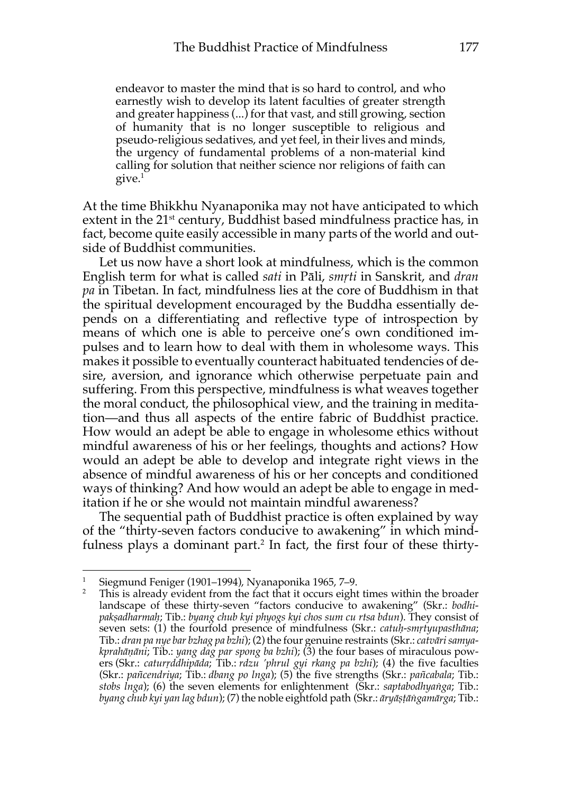endeavor to master the mind that is so hard to control, and who earnestly wish to develop its latent faculties of greater strength and greater happiness (...) for that vast, and still growing, section of humanity that is no longer susceptible to religious and pseudo-religious sedatives, and yet feel, in their lives and minds, the urgency of fundamental problems of a non-material kind calling for solution that neither science nor religions of faith can give.1

At the time Bhikkhu Nyanaponika may not have anticipated to which extent in the 21<sup>st</sup> century, Buddhist based mindfulness practice has, in fact, become quite easily accessible in many parts of the world and outside of Buddhist communities.

Let us now have a short look at mindfulness, which is the common English term for what is called *sati* in Pāli, *smṛti* in Sanskrit, and *dran pa* in Tibetan. In fact, mindfulness lies at the core of Buddhism in that the spiritual development encouraged by the Buddha essentially depends on a differentiating and reflective type of introspection by means of which one is able to perceive one's own conditioned impulses and to learn how to deal with them in wholesome ways. This makes it possible to eventually counteract habituated tendencies of desire, aversion, and ignorance which otherwise perpetuate pain and suffering. From this perspective, mindfulness is what weaves together the moral conduct, the philosophical view, and the training in meditation—and thus all aspects of the entire fabric of Buddhist practice. How would an adept be able to engage in wholesome ethics without mindful awareness of his or her feelings, thoughts and actions? How would an adept be able to develop and integrate right views in the absence of mindful awareness of his or her concepts and conditioned ways of thinking? And how would an adept be able to engage in meditation if he or she would not maintain mindful awareness?

The sequential path of Buddhist practice is often explained by way of the "thirty-seven factors conducive to awakening" in which mindfulness plays a dominant part. <sup>2</sup> In fact, the first four of these thirty-

<sup>1</sup> Siegmund Feniger (1901–1994), Nyanaponika 1965, 7–9.

<sup>2</sup> This is already evident from the fact that it occurs eight times within the broader landscape of these thirty-seven "factors conducive to awakening" (Skr.: *bodhipakṣadharmaḥ*; Tib.: *byang chub kyi phyogs kyi chos sum cu rtsa bdun*). They consist of seven sets: (1) the fourfold presence of mindfulness (Skr.: *catuḥ-smṛtyupasthāna*; Tib.: *dran pa nye bar bzhag pa bzhi*); (2) the four genuine restraints (Skr.: *catvāri samyakprahāṇāni*; Tib.: *yang dag par spong ba bzhi*); (3) the four bases of miraculous powers (Skr.: *caturṛddhipāda*; Tib.: *rdzu 'phrul gyi rkang pa bzhi*); (4) the five faculties (Skr.: *pañcendriya*; Tib.: *dbang po lnga*); (5) the five strengths (Skr.: *pañcabala*; Tib.: *stobs lnga*); (6) the seven elements for enlightenment (Skr.: *saptabodhyaṅga*; Tib.: *byang chub kyi yan lag bdun*); (7) the noble eightfold path (Skr.: *āryāṣṭāṅgamārga*; Tib.: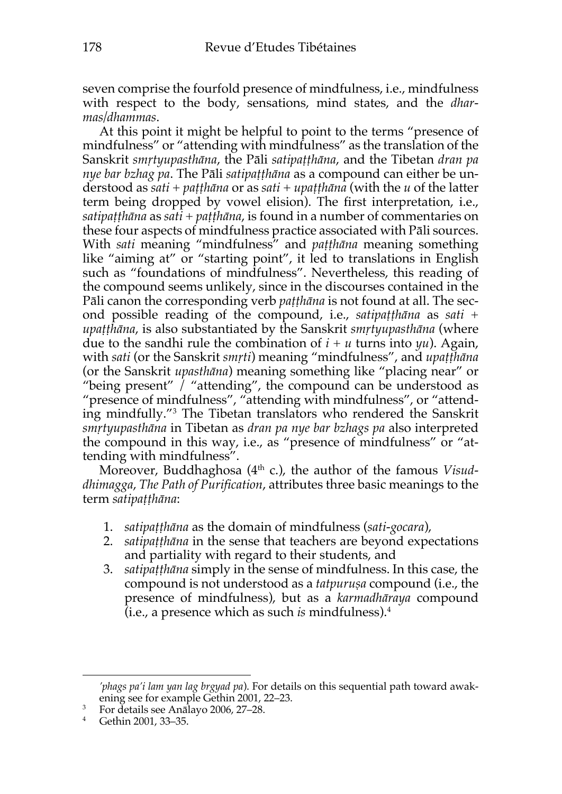seven comprise the fourfold presence of mindfulness, i.e., mindfulness with respect to the body, sensations, mind states, and the *dharmas/dhammas*.

At this point it might be helpful to point to the terms "presence of mindfulness" or "attending with mindfulness" as the translation of the Sanskrit *smṛtyupasthāna*, the Pāli *satipaṭṭhāna*, and the Tibetan *dran pa nye bar bzhag pa*. The Pāli *satipaṭṭhāna* as a compound can either be understood as *sati* + *paṭṭhāna* or as *sati* + *upaṭṭhāna* (with the *u* of the latter term being dropped by vowel elision). The first interpretation, i.e., *satipaṭṭhāna* as *sati* + *paṭṭhāna*, is found in a number of commentaries on these four aspects of mindfulness practice associated with Pāli sources. With *sati* meaning "mindfulness" and *paṭṭhāna* meaning something like "aiming at" or "starting point", it led to translations in English such as "foundations of mindfulness". Nevertheless, this reading of the compound seems unlikely, since in the discourses contained in the Pāli canon the corresponding verb *paṭṭhāna* is not found at all. The second possible reading of the compound, i.e., *satipaṭṭhāna* as *sati* + *upaṭṭhāna*, is also substantiated by the Sanskrit *smṛtyupasthāna* (where due to the sandhi rule the combination of  $i + u$  turns into  $yu$ ). Again, with *sati* (or the Sanskrit *smṛti*) meaning "mindfulness", and *upaṭṭhāna* (or the Sanskrit *upasthāna*) meaning something like "placing near" or "being present" / "attending", the compound can be understood as "presence of mindfulness", "attending with mindfulness", or "attending mindfully."3 The Tibetan translators who rendered the Sanskrit *smṛtyupasthāna* in Tibetan as *dran pa nye bar bzhags pa* also interpreted the compound in this way, i.e., as "presence of mindfulness" or "attending with mindfulness".

Moreover, Buddhaghosa (4<sup>th</sup> c.), the author of the famous *Visuddhimagga*, *The Path of Purification*, attributes three basic meanings to the term *satipaṭṭhāna*:

- 1. *satipaṭṭhāna* as the domain of mindfulness (*sati-gocara*),
- 2. *satipaṭṭhāna* in the sense that teachers are beyond expectations and partiality with regard to their students, and
- 3. *satipaṭṭhāna* simply in the sense of mindfulness. In this case, the compound is not understood as a *tatpuruṣa* compound (i.e., the presence of mindfulness), but as a *karmadhāraya* compound (i.e., a presence which as such *is* mindfulness).4

*<sup>&#</sup>x27;phags pa'i lam yan lag brgyad pa*). For details on this sequential path toward awakening see for example Gethin 2001, 22–23.

<sup>3</sup> For details see Anālayo 2006, 27–28.

<sup>4</sup> Gethin 2001, 33–35.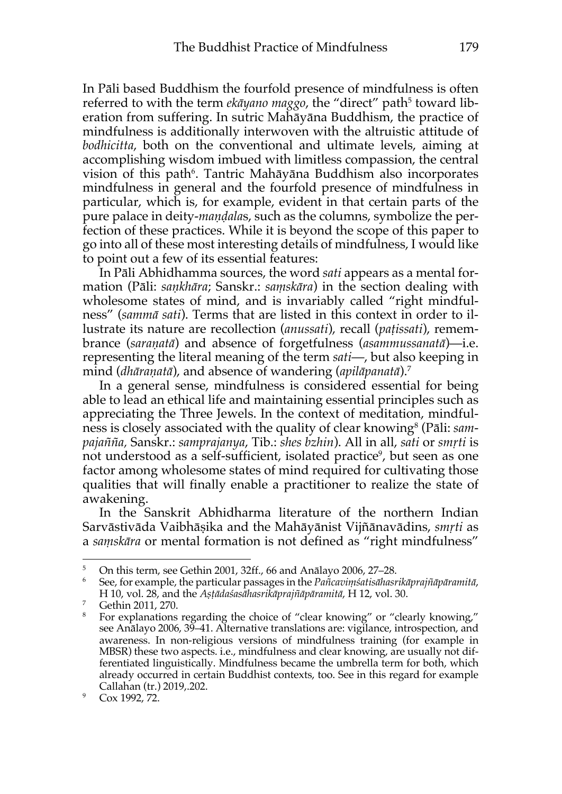In Pāli based Buddhism the fourfold presence of mindfulness is often referred to with the term *ekāyano maggo*, the "direct" path<sup>5</sup> toward liberation from suffering. In sutric Mahāyāna Buddhism, the practice of mindfulness is additionally interwoven with the altruistic attitude of *bodhicitta*, both on the conventional and ultimate levels, aiming at accomplishing wisdom imbued with limitless compassion, the central vision of this path<sup>6</sup>. Tantric Mahāyāna Buddhism also incorporates mindfulness in general and the fourfold presence of mindfulness in particular, which is, for example, evident in that certain parts of the pure palace in deity-*maṇḍala*s, such as the columns, symbolize the perfection of these practices. While it is beyond the scope of this paper to go into all of these most interesting details of mindfulness, I would like to point out a few of its essential features:

In Pāli Abhidhamma sources, the word *sati* appears as a mental formation (Pāli: *saṇkhāra*; Sanskr.: *saṃskāra*) in the section dealing with wholesome states of mind, and is invariably called "right mindfulness" (*sammā sati*). Terms that are listed in this context in order to illustrate its nature are recollection (*anussati*), recall (*paṭissati*), remembrance (*saraṇatā*) and absence of forgetfulness (*asammussanatā*)—i.e. representing the literal meaning of the term *sati*—, but also keeping in mind (*dhāraṇatā*), and absence of wandering (*apilāpanatā*).7

In a general sense, mindfulness is considered essential for being able to lead an ethical life and maintaining essential principles such as appreciating the Three Jewels. In the context of meditation, mindfulness is closely associated with the quality of clear knowing<sup>8</sup> (Pāli: *sampajañña,* Sanskr.: *samprajanya*, Tib.: *shes bzhin*). All in all, *sati* or *smṛti* is not understood as a self-sufficient, isolated practice<sup>9</sup>, but seen as one factor among wholesome states of mind required for cultivating those qualities that will finally enable a practitioner to realize the state of awakening.

In the Sanskrit Abhidharma literature of the northern Indian Sarvāstivāda Vaibhāṣika and the Mahāyānist Vijñānavādins, *smṛti* as a *saṃskāra* or mental formation is not defined as "right mindfulness"

 $5$  On this term, see Gethin 2001, 32ff., 66 and Anālayo 2006, 27–28.

<sup>6</sup> See, for example, the particular passages in the *Pañcaviṃśatisāhasrikāprajñāpāramitā*,

<sup>&</sup>lt;sup>7</sup> Gethin 2011, 270.<br><sup>8</sup> For explanations regarding the choice of "clear knowing" or "clearly knowing," see Anālayo 2006, 39–41. Alternative translations are: vigilance, introspection, and awareness. In non-religious versions of mindfulness training (for example in MBSR) these two aspects. i.e., mindfulness and clear knowing, are usually not differentiated linguistically. Mindfulness became the umbrella term for both, which already occurred in certain Buddhist contexts, too. See in this regard for example Callahan (tr.) 2019,.202.

 $9^{\circ}$  Cox 1992, 72.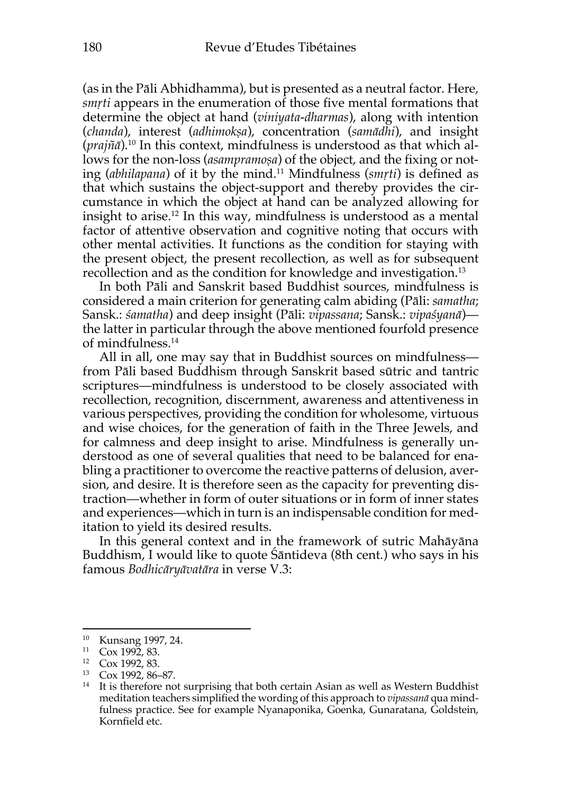(as in the Pāli Abhidhamma), but is presented as a neutral factor. Here, *smṛti* appears in the enumeration of those five mental formations that determine the object at hand (*viniyata-dharmas*), along with intention (*chanda*), interest (*adhimokṣa*), concentration (*samādhi*), and insight (*prajñā*).10 In this context, mindfulness is understood as that which allows for the non-loss (*asampramoṣa*) of the object, and the fixing or noting (*abhilapana*) of it by the mind.11 Mindfulness (*smṛti*) is defined as that which sustains the object-support and thereby provides the circumstance in which the object at hand can be analyzed allowing for insight to arise.12 In this way, mindfulness is understood as a mental factor of attentive observation and cognitive noting that occurs with other mental activities. It functions as the condition for staying with the present object, the present recollection, as well as for subsequent recollection and as the condition for knowledge and investigation.<sup>13</sup>

In both Pāli and Sanskrit based Buddhist sources, mindfulness is considered a main criterion for generating calm abiding (Pāli: *samatha*; Sansk.: *śamatha*) and deep insight (Pāli: *vipassana*; Sansk.: *vipaśyanā*) the latter in particular through the above mentioned fourfold presence of mindfulness.14

All in all, one may say that in Buddhist sources on mindfulness from Pāli based Buddhism through Sanskrit based sūtric and tantric scriptures—mindfulness is understood to be closely associated with recollection, recognition, discernment, awareness and attentiveness in various perspectives, providing the condition for wholesome, virtuous and wise choices, for the generation of faith in the Three Jewels, and for calmness and deep insight to arise. Mindfulness is generally understood as one of several qualities that need to be balanced for enabling a practitioner to overcome the reactive patterns of delusion, aversion, and desire. It is therefore seen as the capacity for preventing distraction—whether in form of outer situations or in form of inner states and experiences—which in turn is an indispensable condition for meditation to yield its desired results.

In this general context and in the framework of sutric Mahāyāna Buddhism, I would like to quote Śāntideva (8th cent.) who says in his famous *Bodhicāryāvatāra* in verse V.3:

<sup>10</sup> Kunsang 1997, 24.

 $\frac{11}{12}$  Cox 1992, 83.

Cox 1992, 83.

<sup>13</sup> Cox 1992, 86–87.

<sup>&</sup>lt;sup>14</sup> It is therefore not surprising that both certain Asian as well as Western Buddhist meditation teachers simplified the wording of this approach to *vipassanā* qua mindfulness practice. See for example Nyanaponika, Goenka, Gunaratana, Goldstein, Kornfield etc.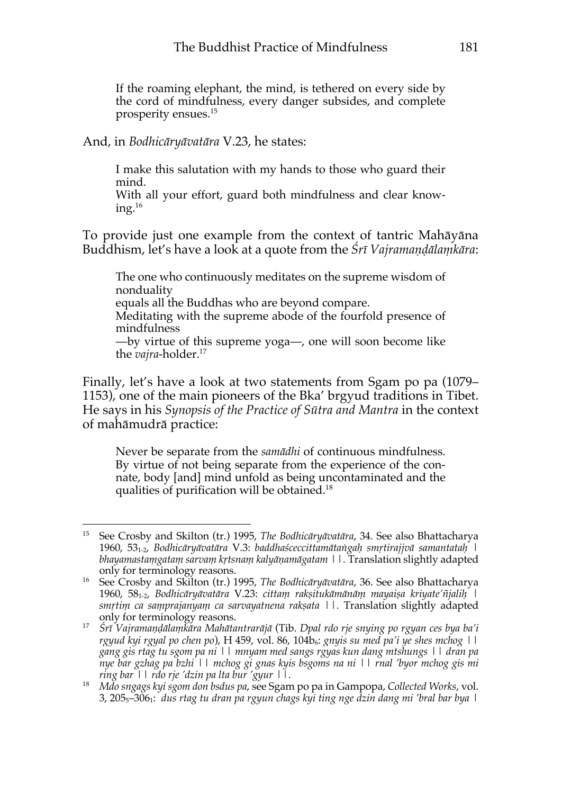If the roaming elephant, the mind, is tethered on every side by the cord of mindfulness, every danger subsides, and complete prosperity ensues.15

#### And, in *Bodhicāryāvatāra* V.23, he states:

I make this salutation with my hands to those who guard their mind.

With all your effort, guard both mindfulness and clear knowing. $16$ 

To provide just one example from the context of tantric Mahāyāna Buddhism, let's have a look at a quote from the *Śrī Vajramaṇḍālaṃkāra*:

The one who continuously meditates on the supreme wisdom of nonduality equals all the Buddhas who are beyond compare.

Meditating with the supreme abode of the fourfold presence of mindfulness

—by virtue of this supreme yoga—, one will soon become like the *vajra*-holder. 17

Finally, let's have a look at two statements from Sgam po pa (1079– 1153), one of the main pioneers of the Bka' brgyud traditions in Tibet. He says in his *Synopsis of the Practice of Sūtra and Mantra* in the context of mahāmudrā practice:

Never be separate from the *samādhi* of continuous mindfulness. By virtue of not being separate from the experience of the connate, body [and] mind unfold as being uncontaminated and the qualities of purification will be obtained. 18

<sup>15</sup> See Crosby and Skilton (tr.) 1995, *The Bodhicāryāvatāra*, 34. See also Bhattacharya 1960, 53<sub>1-2</sub>, Bodhicāryāvatāra V.3: baddhaśceccittamātangah smrtirajjvā samantatah | *bhayamastaṃgataṃ sarvaṃ kṛtsnaṃ kalyāṇamāgatam ||.* Translation slightly adapted only for terminology reasons.

<sup>16</sup> See Crosby and Skilton (tr.) 1995, *The Bodhicāryāvatāra*, 36. See also Bhattacharya 1960, 58<sub>1-2</sub>, Bodhicāryāvatāra V.23: cittam raksitukāmānām mayaisa kriyate'ñjalih | *smṛtiṃ ca saṃprajanyaṃ ca sarvayatnena rakṣata ||.* Translation slightly adapted only for terminology reasons.

<sup>17</sup> *Śrī Vajramaṇḍālaṃkāra Mahātantrarājā* (Tib. *Dpal rdo rje snying po rgyan ces bya ba'i rgyud kyi rgyal po chen po*), H 459, vol. 86, 104b<sub>6</sub>: *gnyis su med pa'i ye shes mchog* | | *gang gis rtag tu sgom pa ni || mnyam med sangs rgyas kun dang mtshungs || dran pa nye bar gzhag pa bzhi || mchog gi gnas kyis bsgoms na ni || rnal 'byor mchog gis mi ring bar || rdo rje 'dzin pa lta bur 'gyur ||.*

<sup>18</sup> *Mdo sngags kyi sgom don bsdus pa*, see Sgam po pa in Gampopa, *Collected Works*, vol. 3, 2055–3061: *dus rtag tu dran pa rgyun chags kyi ting nge dzin dang mi 'bral bar bya |*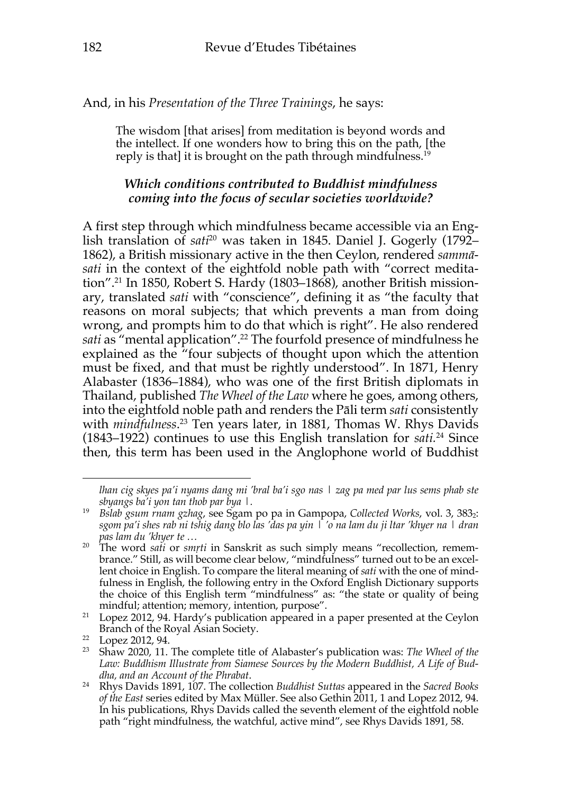And, in his *Presentation of the Three Trainings*, he says:

The wisdom [that arises] from meditation is beyond words and the intellect. If one wonders how to bring this on the path, [the reply is that] it is brought on the path through mindfulness.<sup>19</sup>

## *Which conditions contributed to Buddhist mindfulness coming into the focus of secular societies worldwide?*

A first step through which mindfulness became accessible via an English translation of *sati* <sup>20</sup> was taken in 1845. Daniel J. Gogerly (1792– 1862), a British missionary active in the then Ceylon, rendered *sammā*sati in the context of the eightfold noble path with "correct meditation". <sup>21</sup> In 1850, Robert S. Hardy (1803–1868), another British missionary, translated *sati* with "conscience", defining it as "the faculty that reasons on moral subjects; that which prevents a man from doing wrong, and prompts him to do that which is right". He also rendered *sati* as "mental application". <sup>22</sup> The fourfold presence of mindfulness he explained as the "four subjects of thought upon which the attention must be fixed, and that must be rightly understood". In 1871, Henry Alabaster (1836–1884), who was one of the first British diplomats in Thailand, published *The Wheel of the Law* where he goes, among others, into the eightfold noble path and renders the Pāli term *sati* consistently with *mindfulness*. <sup>23</sup> Ten years later, in 1881, Thomas W. Rhys Davids (1843–1922) continues to use this English translation for *sati.* <sup>24</sup> Since then, this term has been used in the Anglophone world of Buddhist

*lhan cig skyes pa'i nyams dang mi 'bral ba'i sgo nas | zag pa med par lus sems phab ste sbyangs ba'i yon tan thob par bya |.* 

<sup>&</sup>lt;sup>19</sup> Bslab gsum rnam gzhag, see Sgam po pa in Gampopa, Collected Works, vol. 3, 383<sub>2</sub>: *sgom pa'i shes rab ni tshig dang blo las 'das pa yin | 'o na lam du ji ltar 'khyer na | dran pas lam du 'khyer te …*

<sup>&</sup>lt;sup>20</sup> The word *sati* or *smrti* in Sanskrit as such simply means "recollection, remembrance." Still, as will become clear below, "mindfulness" turned out to be an excellent choice in English. To compare the literal meaning of *sati* with the one of mindfulness in English, the following entry in the Oxford English Dictionary supports the choice of this English term "mindfulness" as: "the state or quality of being mindful; attention; memory, intention, purpose".

<sup>&</sup>lt;sup>21</sup> Lopez 2012, 94. Hardy's publication appeared in a paper presented at the Ceylon Branch of the Royal Asian Society.<br><sup>22</sup> Lopez 2012, 94.

<sup>&</sup>lt;sup>23</sup> Shaw 2020, 11. The complete title of Alabaster's publication was: *The Wheel of the Law: Buddhism Illustrate from Siamese Sources by the Modern Buddhist, A Life of Buddha, and an Account of the Phrabat*.

<sup>24</sup> Rhys Davids 1891, 107. The collection *Buddhist Suttas* appeared in the *Sacred Books of the East* series edited by Max Müller. See also Gethin 2011, 1 and Lopez 2012, 94. In his publications, Rhys Davids called the seventh element of the eightfold noble path "right mindfulness, the watchful, active mind", see Rhys Davids 1891, 58.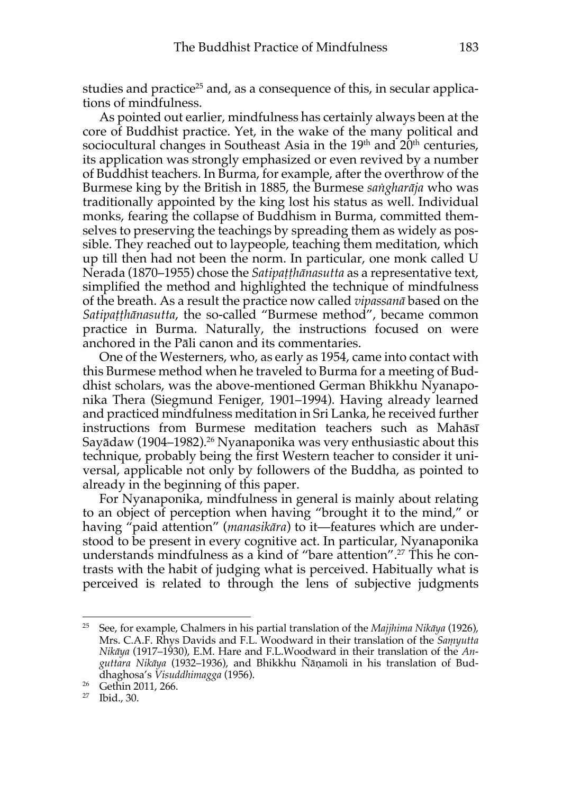studies and practice<sup>25</sup> and, as a consequence of this, in secular applications of mindfulness.

As pointed out earlier, mindfulness has certainly always been at the core of Buddhist practice. Yet, in the wake of the many political and sociocultural changes in Southeast Asia in the  $19<sup>th</sup>$  and  $20<sup>th</sup>$  centuries, its application was strongly emphasized or even revived by a number of Buddhist teachers. In Burma, for example, after the overthrow of the Burmese king by the British in 1885, the Burmese *saṅgharāja* who was traditionally appointed by the king lost his status as well. Individual monks, fearing the collapse of Buddhism in Burma, committed themselves to preserving the teachings by spreading them as widely as possible. They reached out to laypeople, teaching them meditation, which up till then had not been the norm. In particular, one monk called U Nerada (1870–1955) chose the *Satipaṭṭhānasutta* as a representative text, simplified the method and highlighted the technique of mindfulness of the breath. As a result the practice now called *vipassanā* based on the *Satipaṭṭhānasutta*, the so-called "Burmese method", became common practice in Burma. Naturally, the instructions focused on were anchored in the Pāli canon and its commentaries.

One of the Westerners, who, as early as 1954, came into contact with this Burmese method when he traveled to Burma for a meeting of Buddhist scholars, was the above-mentioned German Bhikkhu Nyanaponika Thera (Siegmund Feniger, 1901–1994). Having already learned and practiced mindfulness meditation in Sri Lanka, he received further instructions from Burmese meditation teachers such as Mahāsī Sayādaw (1904–1982).<sup>26</sup> Nyanaponika was very enthusiastic about this technique, probably being the first Western teacher to consider it universal, applicable not only by followers of the Buddha, as pointed to already in the beginning of this paper.

For Nyanaponika, mindfulness in general is mainly about relating to an object of perception when having "brought it to the mind," or having "paid attention" (*manasikāra*) to it—features which are understood to be present in every cognitive act. In particular, Nyanaponika understands mindfulness as a kind of "bare attention". <sup>27</sup> This he contrasts with the habit of judging what is perceived. Habitually what is perceived is related to through the lens of subjective judgments

<sup>25</sup> See, for example, Chalmers in his partial translation of the *Majjhima Nikāya* (1926), Mrs. C.A.F. Rhys Davids and F.L. Woodward in their translation of the *Saṃyutta Nikāya* (1917–1930), E.M. Hare and F.L.Woodward in their translation of the *Anguttara Nikāya* (1932–1936), and Bhikkhu Ñāṇamoli in his translation of Buddhaghosa's *Visuddhimagga* (1956).

<sup>26</sup> Gethin 2011, 266.

<sup>27</sup> Ibid., 30.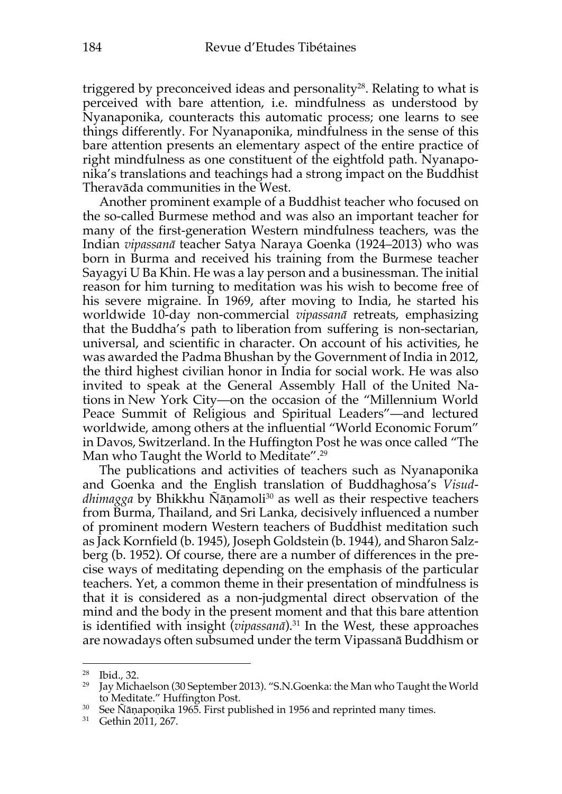triggered by preconceived ideas and personality<sup>28</sup>. Relating to what is perceived with bare attention, i.e. mindfulness as understood by Nyanaponika, counteracts this automatic process; one learns to see things differently. For Nyanaponika, mindfulness in the sense of this bare attention presents an elementary aspect of the entire practice of right mindfulness as one constituent of the eightfold path. Nyanaponika's translations and teachings had a strong impact on the Buddhist Theravāda communities in the West.

Another prominent example of a Buddhist teacher who focused on the so-called Burmese method and was also an important teacher for many of the first-generation Western mindfulness teachers, was the Indian *vipassanā* teacher Satya Naraya Goenka (1924–2013) who was born in Burma and received his training from the Burmese teacher Sayagyi U Ba Khin. He was a lay person and a businessman. The initial reason for him turning to meditation was his wish to become free of his severe migraine. In 1969, after moving to India, he started his worldwide 10-day non-commercial *vipassanā* retreats, emphasizing that the Buddha's path to liberation from suffering is non-sectarian, universal, and scientific in character. On account of his activities, he was awarded the Padma Bhushan by the Government of India in 2012, the third highest civilian honor in India for social work. He was also invited to speak at the General Assembly Hall of the United Nations in New York City—on the occasion of the "Millennium World Peace Summit of Religious and Spiritual Leaders"—and lectured worldwide, among others at the influential "World Economic Forum" in Davos, Switzerland. In the Huffington Post he was once called "The Man who Taught the World to Meditate". 29

The publications and activities of teachers such as Nyanaponika and Goenka and the English translation of Buddhaghosa's *Visuddhimagga* by Bhikkhu Ñāṇamoli<sup>30</sup> as well as their respective teachers from Burma, Thailand, and Sri Lanka, decisively influenced a number of prominent modern Western teachers of Buddhist meditation such as Jack Kornfield (b. 1945), Joseph Goldstein (b. 1944), and Sharon Salzberg (b. 1952). Of course, there are a number of differences in the precise ways of meditating depending on the emphasis of the particular teachers. Yet, a common theme in their presentation of mindfulness is that it is considered as a non-judgmental direct observation of the mind and the body in the present moment and that this bare attention is identified with insight (*vipassanā*).31 In the West, these approaches are nowadays often subsumed under the term Vipassanā Buddhism or

<sup>28</sup> Ibid., 32.

<sup>&</sup>lt;sup>29</sup> Jay Michaelson (30 September 2013). "S.N.Goenka: the Man who Taught the World to Meditate." Huffington Post.<br><sup>30</sup> See Ñāṇapoṇika 1965. First published in 1956 and reprinted many times.

<sup>&</sup>lt;sup>31</sup> Gethin 2011, 267.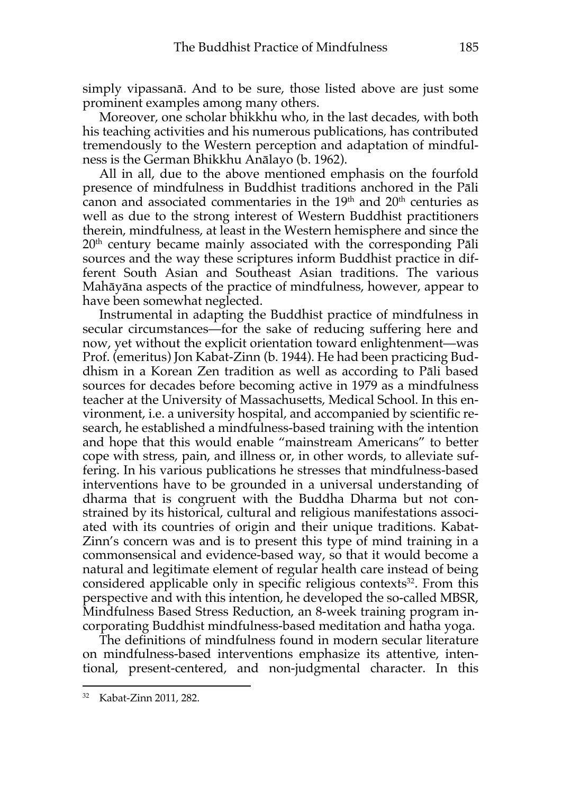simply vipassanā. And to be sure, those listed above are just some prominent examples among many others.

Moreover, one scholar bhikkhu who, in the last decades, with both his teaching activities and his numerous publications, has contributed tremendously to the Western perception and adaptation of mindfulness is the German Bhikkhu Anālayo (b. 1962).

All in all, due to the above mentioned emphasis on the fourfold presence of mindfulness in Buddhist traditions anchored in the Pāli canon and associated commentaries in the  $19<sup>th</sup>$  and  $20<sup>th</sup>$  centuries as well as due to the strong interest of Western Buddhist practitioners therein, mindfulness, at least in the Western hemisphere and since the  $20<sup>th</sup>$  century became mainly associated with the corresponding Pāli sources and the way these scriptures inform Buddhist practice in different South Asian and Southeast Asian traditions. The various Mahāyāna aspects of the practice of mindfulness, however, appear to have been somewhat neglected.

Instrumental in adapting the Buddhist practice of mindfulness in secular circumstances—for the sake of reducing suffering here and now, yet without the explicit orientation toward enlightenment—was Prof. (emeritus) Jon Kabat-Zinn (b. 1944). He had been practicing Buddhism in a Korean Zen tradition as well as according to Pāli based sources for decades before becoming active in 1979 as a mindfulness teacher at the University of Massachusetts, Medical School. In this environment, i.e. a university hospital, and accompanied by scientific research, he established a mindfulness-based training with the intention and hope that this would enable "mainstream Americans" to better cope with stress, pain, and illness or, in other words, to alleviate suffering. In his various publications he stresses that mindfulness-based interventions have to be grounded in a universal understanding of dharma that is congruent with the Buddha Dharma but not constrained by its historical, cultural and religious manifestations associated with its countries of origin and their unique traditions. Kabat-Zinn's concern was and is to present this type of mind training in a commonsensical and evidence-based way, so that it would become a natural and legitimate element of regular health care instead of being considered applicable only in specific religious contexts $32$ . From this perspective and with this intention, he developed the so-called MBSR, Mindfulness Based Stress Reduction, an 8-week training program incorporating Buddhist mindfulness-based meditation and hatha yoga.

The definitions of mindfulness found in modern secular literature on mindfulness-based interventions emphasize its attentive, intentional, present-centered, and non-judgmental character. In this

<sup>32</sup> Kabat-Zinn 2011, 282.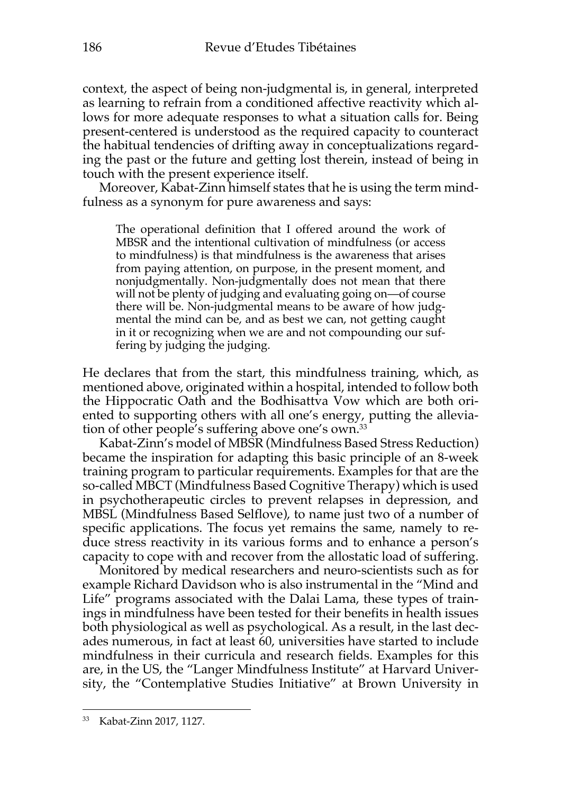context, the aspect of being non-judgmental is, in general, interpreted as learning to refrain from a conditioned affective reactivity which allows for more adequate responses to what a situation calls for. Being present-centered is understood as the required capacity to counteract the habitual tendencies of drifting away in conceptualizations regarding the past or the future and getting lost therein, instead of being in touch with the present experience itself.

Moreover, Kabat-Zinn himself states that he is using the term mindfulness as a synonym for pure awareness and says:

The operational definition that I offered around the work of MBSR and the intentional cultivation of mindfulness (or access to mindfulness) is that mindfulness is the awareness that arises from paying attention, on purpose, in the present moment, and nonjudgmentally. Non-judgmentally does not mean that there will not be plenty of judging and evaluating going on—of course there will be. Non-judgmental means to be aware of how judgmental the mind can be, and as best we can, not getting caught in it or recognizing when we are and not compounding our suffering by judging the judging.

He declares that from the start, this mindfulness training, which, as mentioned above, originated within a hospital, intended to follow both the Hippocratic Oath and the Bodhisattva Vow which are both oriented to supporting others with all one's energy, putting the alleviation of other people's suffering above one's own.33

Kabat-Zinn's model of MBSR (Mindfulness Based Stress Reduction) became the inspiration for adapting this basic principle of an 8-week training program to particular requirements. Examples for that are the so-called MBCT (Mindfulness Based Cognitive Therapy) which is used in psychotherapeutic circles to prevent relapses in depression, and MBSL (Mindfulness Based Selflove), to name just two of a number of specific applications. The focus yet remains the same, namely to reduce stress reactivity in its various forms and to enhance a person's capacity to cope with and recover from the allostatic load of suffering.

Monitored by medical researchers and neuro-scientists such as for example Richard Davidson who is also instrumental in the "Mind and Life" programs associated with the Dalai Lama, these types of trainings in mindfulness have been tested for their benefits in health issues both physiological as well as psychological. As a result, in the last decades numerous, in fact at least 60, universities have started to include mindfulness in their curricula and research fields. Examples for this are, in the US, the "Langer Mindfulness Institute" at Harvard University, the "Contemplative Studies Initiative" at Brown University in

<sup>33</sup> Kabat-Zinn 2017, 1127.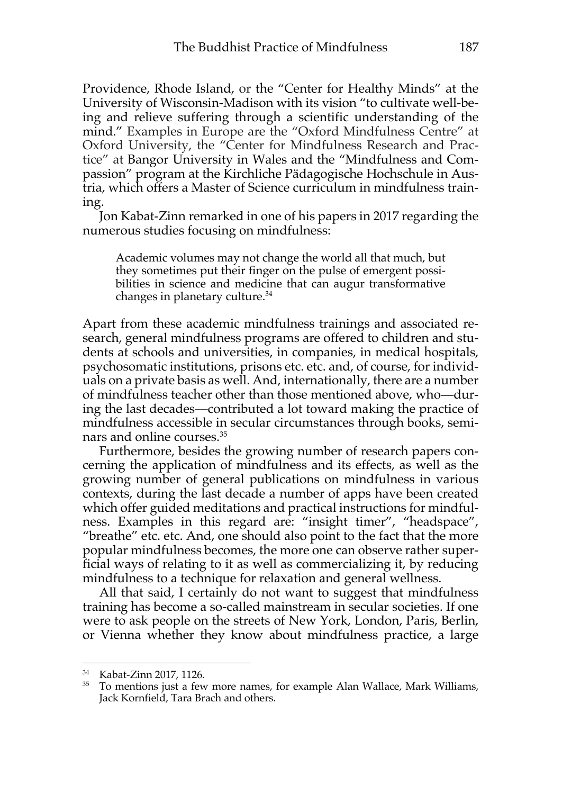Providence, Rhode Island, or the "Center for Healthy Minds" at the University of Wisconsin-Madison with its vision "to cultivate well-being and relieve suffering through a scientific understanding of the mind." Examples in Europe are the "Oxford Mindfulness Centre" at Oxford University, the "Center for Mindfulness Research and Practice" at Bangor University in Wales and the "Mindfulness and Compassion" program at the Kirchliche Pädagogische Hochschule in Austria, which offers a Master of Science curriculum in mindfulness training.

Jon Kabat-Zinn remarked in one of his papers in 2017 regarding the numerous studies focusing on mindfulness:

Academic volumes may not change the world all that much, but they sometimes put their finger on the pulse of emergent possibilities in science and medicine that can augur transformative changes in planetary culture.34

Apart from these academic mindfulness trainings and associated research, general mindfulness programs are offered to children and students at schools and universities, in companies, in medical hospitals, psychosomatic institutions, prisons etc. etc. and, of course, for individuals on a private basis as well. And, internationally, there are a number of mindfulness teacher other than those mentioned above, who—during the last decades—contributed a lot toward making the practice of mindfulness accessible in secular circumstances through books, seminars and online courses. 35

Furthermore, besides the growing number of research papers concerning the application of mindfulness and its effects, as well as the growing number of general publications on mindfulness in various contexts, during the last decade a number of apps have been created which offer guided meditations and practical instructions for mindfulness. Examples in this regard are: "insight timer", "headspace", "breathe" etc. etc. And, one should also point to the fact that the more popular mindfulness becomes, the more one can observe rather superficial ways of relating to it as well as commercializing it, by reducing mindfulness to a technique for relaxation and general wellness.

All that said, I certainly do not want to suggest that mindfulness training has become a so-called mainstream in secular societies. If one were to ask people on the streets of New York, London, Paris, Berlin, or Vienna whether they know about mindfulness practice, a large

<sup>34</sup> Kabat-Zinn 2017, 1126.

<sup>&</sup>lt;sup>35</sup> To mentions just a few more names, for example Alan Wallace, Mark Williams, Jack Kornfield, Tara Brach and others.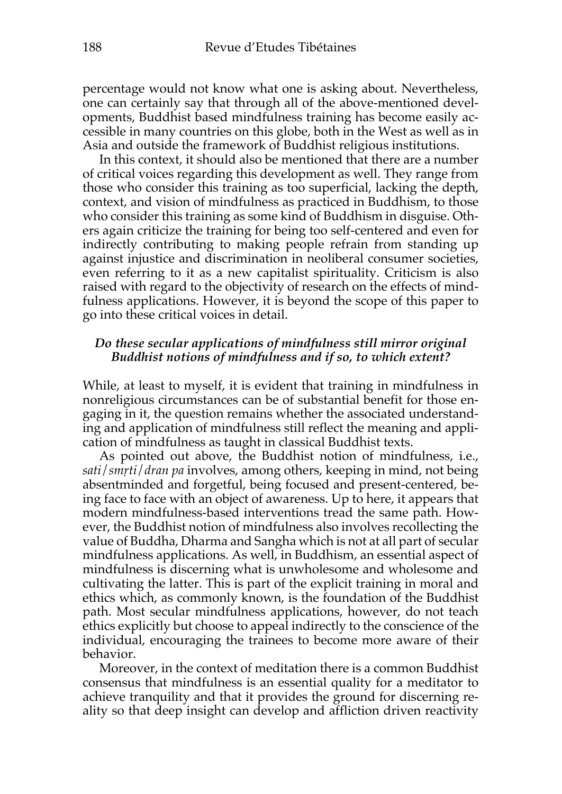percentage would not know what one is asking about. Nevertheless, one can certainly say that through all of the above-mentioned developments, Buddhist based mindfulness training has become easily accessible in many countries on this globe, both in the West as well as in Asia and outside the framework of Buddhist religious institutions.

In this context, it should also be mentioned that there are a number of critical voices regarding this development as well. They range from those who consider this training as too superficial, lacking the depth, context, and vision of mindfulness as practiced in Buddhism, to those who consider this training as some kind of Buddhism in disguise. Others again criticize the training for being too self-centered and even for indirectly contributing to making people refrain from standing up against injustice and discrimination in neoliberal consumer societies, even referring to it as a new capitalist spirituality. Criticism is also raised with regard to the objectivity of research on the effects of mindfulness applications. However, it is beyond the scope of this paper to go into these critical voices in detail.

### *Do these secular applications of mindfulness still mirror original Buddhist notions of mindfulness and if so, to which extent?*

While, at least to myself, it is evident that training in mindfulness in nonreligious circumstances can be of substantial benefit for those engaging in it, the question remains whether the associated understanding and application of mindfulness still reflect the meaning and application of mindfulness as taught in classical Buddhist texts.

As pointed out above, the Buddhist notion of mindfulness, i.e., *sati*/*smṛti*/*dran pa* involves, among others, keeping in mind, not being absentminded and forgetful, being focused and present-centered, being face to face with an object of awareness. Up to here, it appears that modern mindfulness-based interventions tread the same path. However, the Buddhist notion of mindfulness also involves recollecting the value of Buddha, Dharma and Sangha which is not at all part of secular mindfulness applications. As well, in Buddhism, an essential aspect of mindfulness is discerning what is unwholesome and wholesome and cultivating the latter. This is part of the explicit training in moral and ethics which, as commonly known, is the foundation of the Buddhist path. Most secular mindfulness applications, however, do not teach ethics explicitly but choose to appeal indirectly to the conscience of the individual, encouraging the trainees to become more aware of their behavior.

Moreover, in the context of meditation there is a common Buddhist consensus that mindfulness is an essential quality for a meditator to achieve tranquility and that it provides the ground for discerning reality so that deep insight can develop and affliction driven reactivity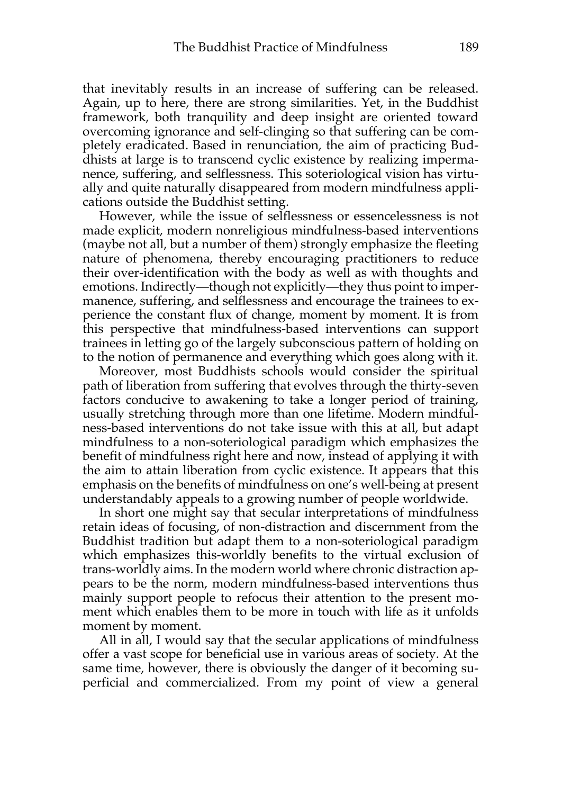that inevitably results in an increase of suffering can be released. Again, up to here, there are strong similarities. Yet, in the Buddhist framework, both tranquility and deep insight are oriented toward overcoming ignorance and self-clinging so that suffering can be completely eradicated. Based in renunciation, the aim of practicing Buddhists at large is to transcend cyclic existence by realizing impermanence, suffering, and selflessness. This soteriological vision has virtually and quite naturally disappeared from modern mindfulness applications outside the Buddhist setting.

However, while the issue of selflessness or essencelessness is not made explicit, modern nonreligious mindfulness-based interventions (maybe not all, but a number of them) strongly emphasize the fleeting nature of phenomena, thereby encouraging practitioners to reduce their over-identification with the body as well as with thoughts and emotions. Indirectly—though not explicitly—they thus point to impermanence, suffering, and selflessness and encourage the trainees to experience the constant flux of change, moment by moment. It is from this perspective that mindfulness-based interventions can support trainees in letting go of the largely subconscious pattern of holding on to the notion of permanence and everything which goes along with it.

Moreover, most Buddhists schools would consider the spiritual path of liberation from suffering that evolves through the thirty-seven factors conducive to awakening to take a longer period of training, usually stretching through more than one lifetime. Modern mindfulness-based interventions do not take issue with this at all, but adapt mindfulness to a non-soteriological paradigm which emphasizes the benefit of mindfulness right here and now, instead of applying it with the aim to attain liberation from cyclic existence. It appears that this emphasis on the benefits of mindfulness on one's well-being at present understandably appeals to a growing number of people worldwide.

In short one might say that secular interpretations of mindfulness retain ideas of focusing, of non-distraction and discernment from the Buddhist tradition but adapt them to a non-soteriological paradigm which emphasizes this-worldly benefits to the virtual exclusion of trans-worldly aims. In the modern world where chronic distraction appears to be the norm, modern mindfulness-based interventions thus mainly support people to refocus their attention to the present moment which enables them to be more in touch with life as it unfolds moment by moment.

All in all, I would say that the secular applications of mindfulness offer a vast scope for beneficial use in various areas of society. At the same time, however, there is obviously the danger of it becoming superficial and commercialized. From my point of view a general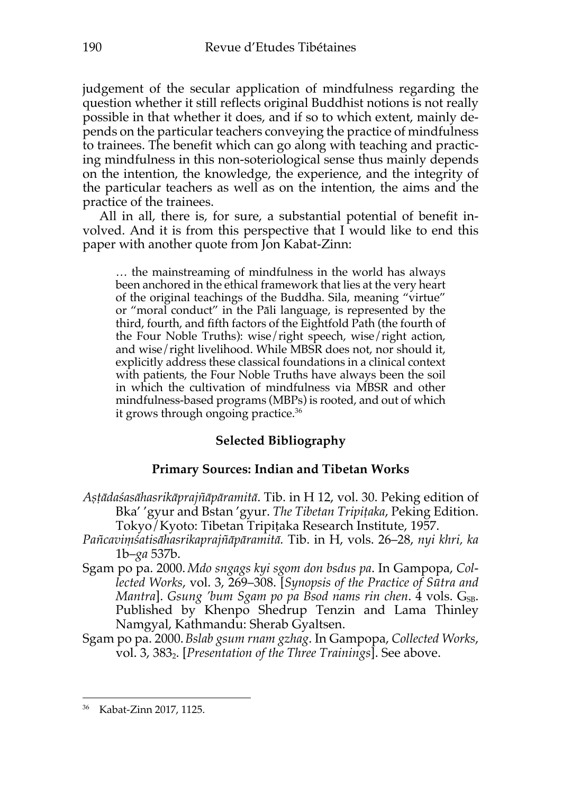judgement of the secular application of mindfulness regarding the question whether it still reflects original Buddhist notions is not really possible in that whether it does, and if so to which extent, mainly depends on the particular teachers conveying the practice of mindfulness to trainees. The benefit which can go along with teaching and practicing mindfulness in this non-soteriological sense thus mainly depends on the intention, the knowledge, the experience, and the integrity of the particular teachers as well as on the intention, the aims and the practice of the trainees.

All in all, there is, for sure, a substantial potential of benefit involved. And it is from this perspective that I would like to end this paper with another quote from Jon Kabat-Zinn:

… the mainstreaming of mindfulness in the world has always been anchored in the ethical framework that lies at the very heart of the original teachings of the Buddha. Sila, meaning "virtue" or "moral conduct" in the Pāli language, is represented by the third, fourth, and fifth factors of the Eightfold Path (the fourth of the Four Noble Truths): wise/right speech, wise/right action, and wise/right livelihood. While MBSR does not, nor should it, explicitly address these classical foundations in a clinical context with patients, the Four Noble Truths have always been the soil in which the cultivation of mindfulness via MBSR and other mindfulness-based programs (MBPs) is rooted, and out of which it grows through ongoing practice.<sup>36</sup>

# **Selected Bibliography**

# **Primary Sources: Indian and Tibetan Works**

- *Aṣṭādaśasāhasrikāprajñāpāramitā*. Tib. in H 12, vol. 30. Peking edition of Bka' 'gyur and Bstan 'gyur. *The Tibetan Tripiṭaka*, Peking Edition. Tokyo/Kyoto: Tibetan Tripiṭaka Research Institute, 1957.
- *Pañcaviṃśatisāhasrikaprajñāpāramitā.* Tib. in H, vols. 26–28, *nyi khri, ka*  1b–*ga* 537b.
- Sgam po pa. 2000. *Mdo sngags kyi sgom don bsdus pa*. In Gampopa, *Collected Works*, vol. 3, 269–308. [*Synopsis of the Practice of Sūtra and Mantra*]. *Gsung 'bum Sgam po pa Bsod nams rin chen.* 4 vols. *G<sub>SB</sub>*. Published by Khenpo Shedrup Tenzin and Lama Thinley Namgyal, Kathmandu: Sherab Gyaltsen.
- Sgam po pa. 2000.*Bslab gsum rnam gzhag*. In Gampopa, *Collected Works*, vol. 3, 3832. [*Presentation of the Three Trainings*]. See above.

<sup>36</sup> Kabat-Zinn 2017, 1125.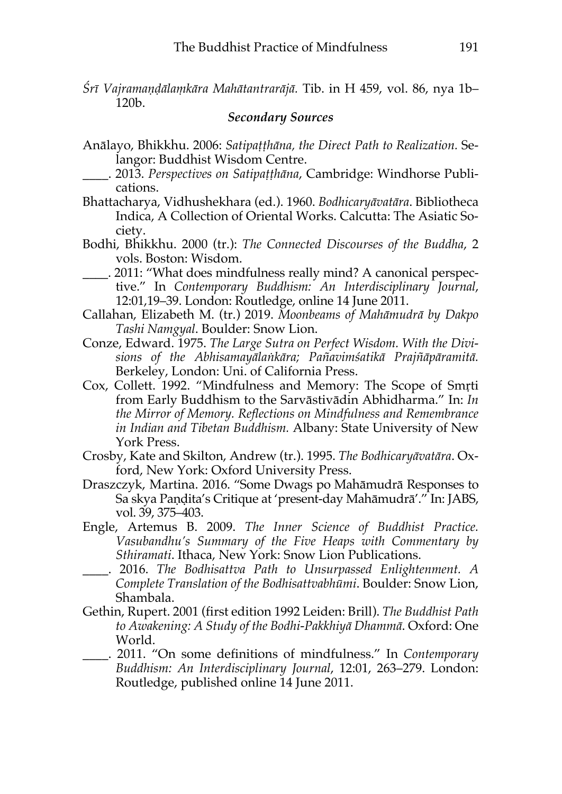*Śrī Vajramaṇḍālaṃkāra Mahātantrarājā.* Tib. in H 459, vol. 86, nya 1b– 120b.

#### *Secondary Sources*

- Anālayo, Bhikkhu. 2006: *Satipaṭṭhāna, the Direct Path to Realization.* Selangor: Buddhist Wisdom Centre.
	- \_\_\_\_. 2013. *Perspectives on Satipaṭṭhāna*, Cambridge: Windhorse Publications.
- Bhattacharya, Vidhushekhara (ed.). 1960. *Bodhicaryāvatāra*. Bibliotheca Indica, A Collection of Oriental Works. Calcutta: The Asiatic Society.
- Bodhi, Bhikkhu. 2000 (tr.): *The Connected Discourses of the Buddha*, 2 vols. Boston: Wisdom.
- \_\_\_\_. 2011: "What does mindfulness really mind? A canonical perspective." In *Contemporary Buddhism: An Interdisciplinary Journal*, 12:01,19–39. London: Routledge, online 14 June 2011.
- Callahan, Elizabeth M. (tr.) 2019. *Moonbeams of Mahāmudrā by Dakpo Tashi Namgyal*. Boulder: Snow Lion.
- Conze, Edward. 1975. *The Large Sutra on Perfect Wisdom. With the Divisions of the Abhisamayālaṅkāra; Pañavimśatikā Prajñāpāramitā.* Berkeley, London: Uni. of California Press.
- Cox, Collett. 1992. "Mindfulness and Memory: The Scope of Smṛti from Early Buddhism to the Sarvāstivādin Abhidharma." In: *In the Mirror of Memory. Reflections on Mindfulness and Remembrance in Indian and Tibetan Buddhism.* Albany: State University of New York Press.
- Crosby, Kate and Skilton, Andrew (tr.). 1995. *The Bodhicaryāvatāra*. Oxford, New York: Oxford University Press.
- Draszczyk, Martina. 2016. "Some Dwags po Mahāmudrā Responses to Sa skya Paṇḍita's Critique at 'present-day Mahāmudrā'." In: JABS, vol. 39, 375–403.
- Engle, Artemus B. 2009. *The Inner Science of Buddhist Practice. Vasubandhu's Summary of the Five Heaps with Commentary by Sthiramati*. Ithaca, New York: Snow Lion Publications.
- \_\_\_\_. 2016. *The Bodhisattva Path to Unsurpassed Enlightenment. A Complete Translation of the Bodhisattvabhūmi*. Boulder: Snow Lion, Shambala.
- Gethin, Rupert. 2001 (first edition 1992 Leiden: Brill). *The Buddhist Path to Awakening: A Study of the Bodhi-Pakkhiyā Dhammā*. Oxford: One World.
- \_\_\_\_. 2011. "On some definitions of mindfulness." In *Contemporary Buddhism: An Interdisciplinary Journal*, 12:01, 263–279. London: Routledge, published online 14 June 2011.